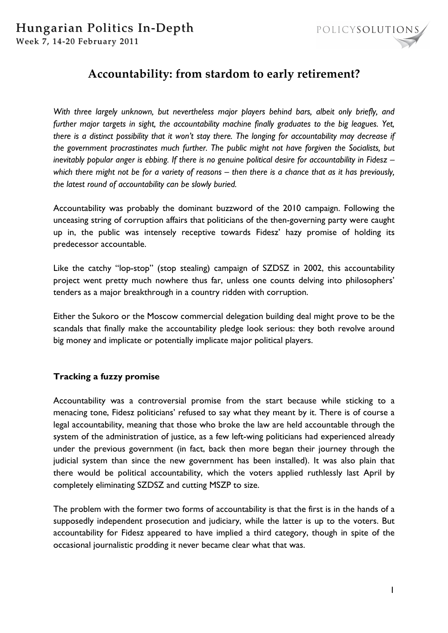

# **Accountability: from stardom to early retirement?**

*With three largely unknown, but nevertheless major players behind bars, albeit only briefly, and further major targets in sight, the accountability machine finally graduates to the big leagues. Yet, there is a distinct possibility that it won't stay there. The longing for accountability may decrease if the government procrastinates much further. The public might not have forgiven the Socialists, but inevitably popular anger is ebbing. If there is no genuine political desire for accountability in Fidesz – which there might not be for a variety of reasons – then there is a chance that as it has previously, the latest round of accountability can be slowly buried.* 

Accountability was probably the dominant buzzword of the 2010 campaign. Following the unceasing string of corruption affairs that politicians of the then-governing party were caught up in, the public was intensely receptive towards Fidesz' hazy promise of holding its predecessor accountable.

Like the catchy "lop-stop" (stop stealing) campaign of SZDSZ in 2002, this accountability project went pretty much nowhere thus far, unless one counts delving into philosophers' tenders as a major breakthrough in a country ridden with corruption.

Either the Sukoro or the Moscow commercial delegation building deal might prove to be the scandals that finally make the accountability pledge look serious: they both revolve around big money and implicate or potentially implicate major political players.

## **Tracking a fuzzy promise**

Accountability was a controversial promise from the start because while sticking to a menacing tone, Fidesz politicians' refused to say what they meant by it. There is of course a legal accountability, meaning that those who broke the law are held accountable through the system of the administration of justice, as a few left-wing politicians had experienced already under the previous government (in fact, back then more began their journey through the judicial system than since the new government has been installed). It was also plain that there would be political accountability, which the voters applied ruthlessly last April by completely eliminating SZDSZ and cutting MSZP to size.

The problem with the former two forms of accountability is that the first is in the hands of a supposedly independent prosecution and judiciary, while the latter is up to the voters. But accountability for Fidesz appeared to have implied a third category, though in spite of the occasional journalistic prodding it never became clear what that was.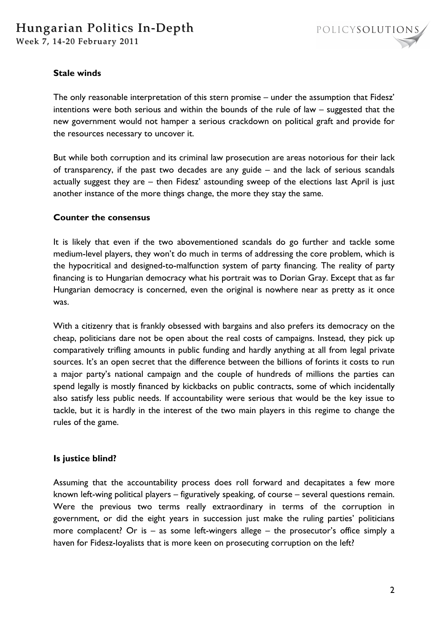## **Stale winds**

The only reasonable interpretation of this stern promise – under the assumption that Fidesz' intentions were both serious and within the bounds of the rule of law – suggested that the new government would not hamper a serious crackdown on political graft and provide for the resources necessary to uncover it.

But while both corruption and its criminal law prosecution are areas notorious for their lack of transparency, if the past two decades are any guide – and the lack of serious scandals actually suggest they are – then Fidesz' astounding sweep of the elections last April is just another instance of the more things change, the more they stay the same.

### **Counter the consensus**

It is likely that even if the two abovementioned scandals do go further and tackle some medium-level players, they won't do much in terms of addressing the core problem, which is the hypocritical and designed-to-malfunction system of party financing. The reality of party financing is to Hungarian democracy what his portrait was to Dorian Gray. Except that as far Hungarian democracy is concerned, even the original is nowhere near as pretty as it once was.

With a citizenry that is frankly obsessed with bargains and also prefers its democracy on the cheap, politicians dare not be open about the real costs of campaigns. Instead, they pick up comparatively trifling amounts in public funding and hardly anything at all from legal private sources. It's an open secret that the difference between the billions of forints it costs to run a major party's national campaign and the couple of hundreds of millions the parties can spend legally is mostly financed by kickbacks on public contracts, some of which incidentally also satisfy less public needs. If accountability were serious that would be the key issue to tackle, but it is hardly in the interest of the two main players in this regime to change the rules of the game.

#### **Is justice blind?**

Assuming that the accountability process does roll forward and decapitates a few more known left-wing political players – figuratively speaking, of course – several questions remain. Were the previous two terms really extraordinary in terms of the corruption in government, or did the eight years in succession just make the ruling parties' politicians more complacent? Or is  $-$  as some left-wingers allege  $-$  the prosecutor's office simply a haven for Fidesz-loyalists that is more keen on prosecuting corruption on the left?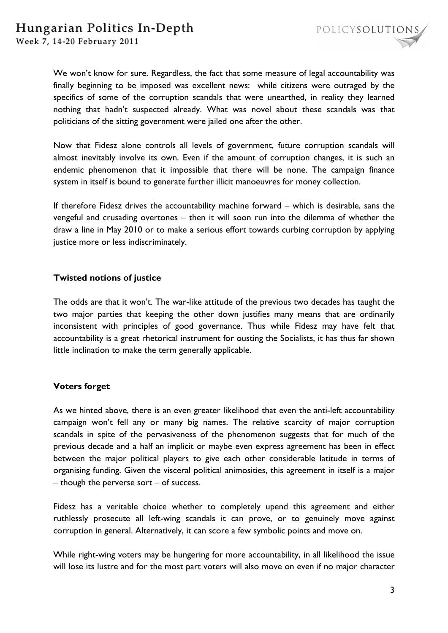We won't know for sure. Regardless, the fact that some measure of legal accountability was finally beginning to be imposed was excellent news: while citizens were outraged by the specifics of some of the corruption scandals that were unearthed, in reality they learned nothing that hadn't suspected already. What was novel about these scandals was that politicians of the sitting government were jailed one after the other.

Now that Fidesz alone controls all levels of government, future corruption scandals will almost inevitably involve its own. Even if the amount of corruption changes, it is such an endemic phenomenon that it impossible that there will be none. The campaign finance system in itself is bound to generate further illicit manoeuvres for money collection.

If therefore Fidesz drives the accountability machine forward – which is desirable, sans the vengeful and crusading overtones – then it will soon run into the dilemma of whether the draw a line in May 2010 or to make a serious effort towards curbing corruption by applying justice more or less indiscriminately.

## **Twisted notions of justice**

The odds are that it won't. The war-like attitude of the previous two decades has taught the two major parties that keeping the other down justifies many means that are ordinarily inconsistent with principles of good governance. Thus while Fidesz may have felt that accountability is a great rhetorical instrument for ousting the Socialists, it has thus far shown little inclination to make the term generally applicable.

## **Voters forget**

As we hinted above, there is an even greater likelihood that even the anti-left accountability campaign won't fell any or many big names. The relative scarcity of major corruption scandals in spite of the pervasiveness of the phenomenon suggests that for much of the previous decade and a half an implicit or maybe even express agreement has been in effect between the major political players to give each other considerable latitude in terms of organising funding. Given the visceral political animosities, this agreement in itself is a major – though the perverse sort – of success.

Fidesz has a veritable choice whether to completely upend this agreement and either ruthlessly prosecute all left-wing scandals it can prove, or to genuinely move against corruption in general. Alternatively, it can score a few symbolic points and move on.

While right-wing voters may be hungering for more accountability, in all likelihood the issue will lose its lustre and for the most part voters will also move on even if no major character